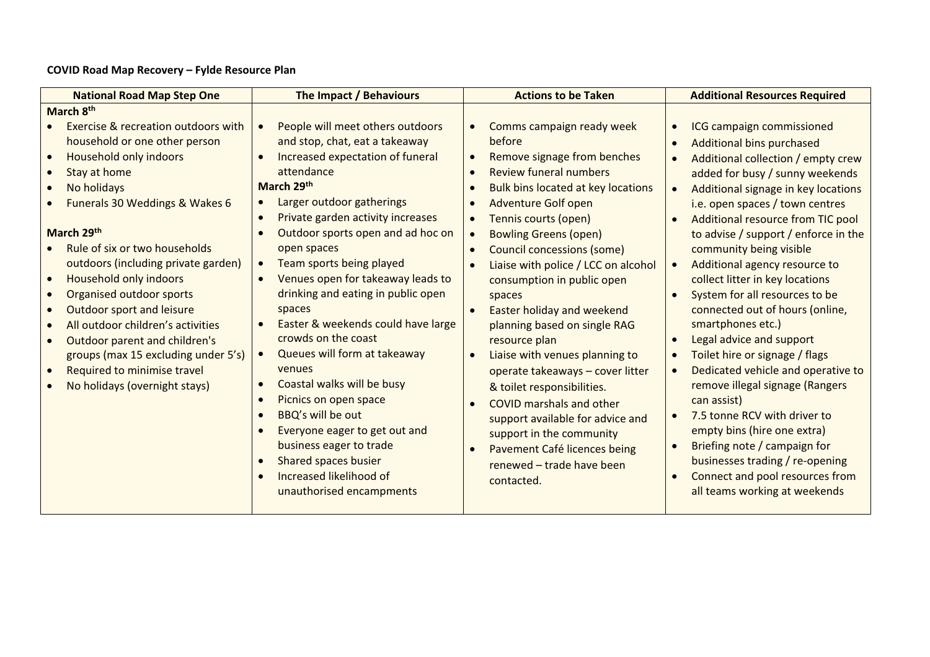## **COVID Road Map Recovery – Fylde Resource Plan**

| March 8th<br>Exercise & recreation outdoors with<br>Comms campaign ready week<br>People will meet others outdoors<br>ICG campaign commissioned<br>$\bullet$<br>household or one other person<br>and stop, chat, eat a takeaway<br>before<br><b>Additional bins purchased</b><br>Household only indoors<br>Increased expectation of funeral<br>Remove signage from benches<br>Additional collection / empty crew<br>$\bullet$<br><b>Review funeral numbers</b><br>Stay at home<br>attendance<br>added for busy / sunny weekends<br>March 29th<br>No holidays<br><b>Bulk bins located at key locations</b><br>Additional signage in key locations<br>Larger outdoor gatherings<br>Funerals 30 Weddings & Wakes 6<br><b>Adventure Golf open</b><br>i.e. open spaces / town centres<br>Private garden activity increases<br>Tennis courts (open)<br>Additional resource from TIC pool                                                                                                                                                                                                                                                                                                                                                                                                                                                                                                                                                                                                                                                                                                                                                                                                               |  |
|-------------------------------------------------------------------------------------------------------------------------------------------------------------------------------------------------------------------------------------------------------------------------------------------------------------------------------------------------------------------------------------------------------------------------------------------------------------------------------------------------------------------------------------------------------------------------------------------------------------------------------------------------------------------------------------------------------------------------------------------------------------------------------------------------------------------------------------------------------------------------------------------------------------------------------------------------------------------------------------------------------------------------------------------------------------------------------------------------------------------------------------------------------------------------------------------------------------------------------------------------------------------------------------------------------------------------------------------------------------------------------------------------------------------------------------------------------------------------------------------------------------------------------------------------------------------------------------------------------------------------------------------------------------------------------------------------|--|
| March 29th<br>Outdoor sports open and ad hoc on<br>to advise / support / enforce in the<br><b>Bowling Greens (open)</b><br>$\bullet$<br>Rule of six or two households<br>open spaces<br>community being visible<br><b>Council concessions (some)</b><br>outdoors (including private garden)<br>Team sports being played<br>Additional agency resource to<br>Liaise with police / LCC on alcohol<br><b>Household only indoors</b><br>Venues open for takeaway leads to<br>collect litter in key locations<br>$\bullet$<br>consumption in public open<br>$\bullet$<br>drinking and eating in public open<br>Organised outdoor sports<br>System for all resources to be<br>$\bullet$<br>spaces<br><b>Outdoor sport and leisure</b><br>connected out of hours (online,<br>Easter holiday and weekend<br>spaces<br>$\bullet$<br>Easter & weekends could have large<br>smartphones etc.)<br>All outdoor children's activities<br>planning based on single RAG<br>$\bullet$<br>crowds on the coast<br>Legal advice and support<br>resource plan<br>Outdoor parent and children's<br>$\bullet$<br>Queues will form at takeaway<br>Toilet hire or signage / flags<br>groups (max 15 excluding under 5's)<br>Liaise with venues planning to<br>Required to minimise travel<br>venues<br>Dedicated vehicle and operative to<br>operate takeaways - cover litter<br>$\bullet$<br>Coastal walks will be busy<br>remove illegal signage (Rangers<br>$\bullet$<br>No holidays (overnight stays)<br>& toilet responsibilities.<br>Picnics on open space<br>can assist)<br><b>COVID marshals and other</b><br>BBQ's will be out<br>7.5 tonne RCV with driver to<br>$\bullet$<br>support available for advice and |  |
| Everyone eager to get out and<br>empty bins (hire one extra)<br>support in the community<br>business eager to trade<br>Briefing note / campaign for<br>Pavement Café licences being<br>Shared spaces busier<br>businesses trading / re-opening<br>$\bullet$<br>renewed - trade have been<br>Increased likelihood of<br>Connect and pool resources from<br>contacted.<br>unauthorised encampments<br>all teams working at weekends                                                                                                                                                                                                                                                                                                                                                                                                                                                                                                                                                                                                                                                                                                                                                                                                                                                                                                                                                                                                                                                                                                                                                                                                                                                               |  |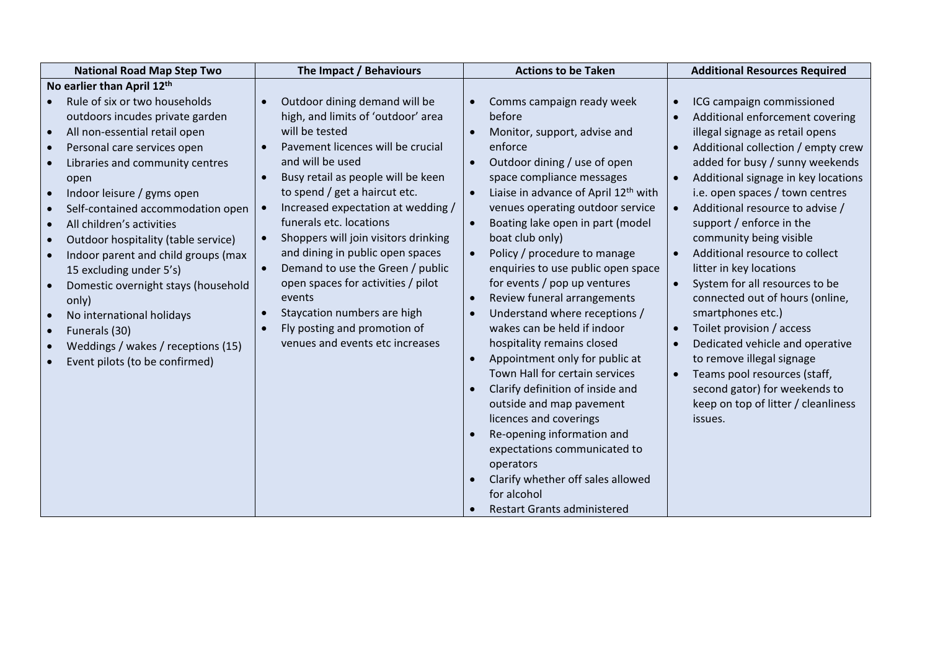| <b>National Road Map Step Two</b>          | The Impact / Behaviours                           | <b>Actions to be Taken</b>                                    | <b>Additional Resources Required</b>         |
|--------------------------------------------|---------------------------------------------------|---------------------------------------------------------------|----------------------------------------------|
| No earlier than April 12th                 |                                                   |                                                               |                                              |
| Rule of six or two households              | Outdoor dining demand will be<br>$\bullet$        | Comms campaign ready week                                     | ICG campaign commissioned<br>$\bullet$       |
| outdoors incudes private garden            | high, and limits of 'outdoor' area                | before                                                        | Additional enforcement covering              |
| All non-essential retail open<br>$\bullet$ | will be tested                                    | Monitor, support, advise and<br>$\bullet$                     | illegal signage as retail opens              |
| Personal care services open                | Pavement licences will be crucial                 | enforce                                                       | Additional collection / empty crew           |
| Libraries and community centres            | and will be used                                  | Outdoor dining / use of open<br>$\bullet$                     | added for busy / sunny weekends              |
| open                                       | Busy retail as people will be keen<br>$\bullet$   | space compliance messages                                     | Additional signage in key locations          |
| Indoor leisure / gyms open<br>$\bullet$    | to spend / get a haircut etc.                     | Liaise in advance of April 12 <sup>th</sup> with<br>$\bullet$ | i.e. open spaces / town centres              |
| Self-contained accommodation open          | Increased expectation at wedding /<br>$\bullet$   | venues operating outdoor service                              | Additional resource to advise /              |
| All children's activities                  | funerals etc. locations                           | Boating lake open in part (model                              | support / enforce in the                     |
| Outdoor hospitality (table service)        | Shoppers will join visitors drinking<br>$\bullet$ | boat club only)                                               | community being visible                      |
| Indoor parent and child groups (max        | and dining in public open spaces                  | Policy / procedure to manage<br>$\bullet$                     | Additional resource to collect<br>$\bullet$  |
| 15 excluding under 5's)                    | Demand to use the Green / public<br>$\bullet$     | enquiries to use public open space                            | litter in key locations                      |
| Domestic overnight stays (household        | open spaces for activities / pilot                | for events / pop up ventures                                  | System for all resources to be<br>$\bullet$  |
| only)                                      | events                                            | Review funeral arrangements                                   | connected out of hours (online,              |
| No international holidays                  | Staycation numbers are high<br>$\bullet$          | Understand where receptions /                                 | smartphones etc.)                            |
| Funerals (30)                              | Fly posting and promotion of<br>$\bullet$         | wakes can be held if indoor                                   | Toilet provision / access<br>$\bullet$       |
| Weddings / wakes / receptions (15)         | venues and events etc increases                   | hospitality remains closed                                    | Dedicated vehicle and operative<br>$\bullet$ |
| Event pilots (to be confirmed)             |                                                   | Appointment only for public at                                | to remove illegal signage                    |
|                                            |                                                   | Town Hall for certain services                                | Teams pool resources (staff,<br>$\bullet$    |
|                                            |                                                   | Clarify definition of inside and                              | second gator) for weekends to                |
|                                            |                                                   | outside and map pavement                                      | keep on top of litter / cleanliness          |
|                                            |                                                   | licences and coverings                                        | issues.                                      |
|                                            |                                                   | Re-opening information and<br>expectations communicated to    |                                              |
|                                            |                                                   | operators                                                     |                                              |
|                                            |                                                   | Clarify whether off sales allowed                             |                                              |
|                                            |                                                   | for alcohol                                                   |                                              |
|                                            |                                                   |                                                               |                                              |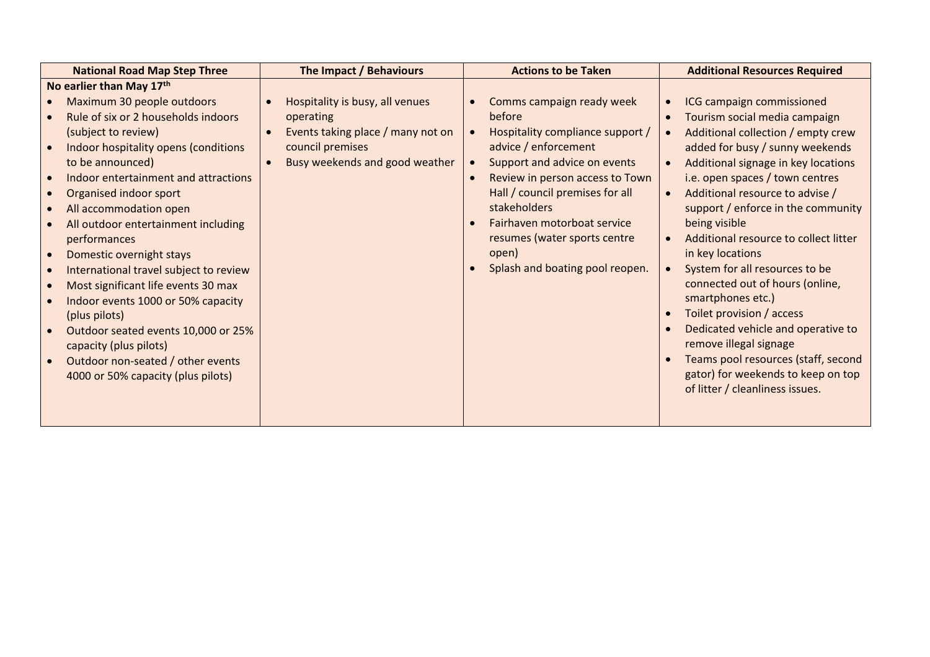| <b>National Road Map Step Three</b>                                                                                                                                                                                                                                                                                                                                                                                                                                                                                                                                                                                                               | The Impact / Behaviours                                                                                                                                                        | <b>Actions to be Taken</b>                                                                                                                                                                                                                                                                                                       | <b>Additional Resources Required</b>                                                                                                                                                                                                                                                                                                                                                                                                                                                                                                                                                                                                                                                                                                                                   |
|---------------------------------------------------------------------------------------------------------------------------------------------------------------------------------------------------------------------------------------------------------------------------------------------------------------------------------------------------------------------------------------------------------------------------------------------------------------------------------------------------------------------------------------------------------------------------------------------------------------------------------------------------|--------------------------------------------------------------------------------------------------------------------------------------------------------------------------------|----------------------------------------------------------------------------------------------------------------------------------------------------------------------------------------------------------------------------------------------------------------------------------------------------------------------------------|------------------------------------------------------------------------------------------------------------------------------------------------------------------------------------------------------------------------------------------------------------------------------------------------------------------------------------------------------------------------------------------------------------------------------------------------------------------------------------------------------------------------------------------------------------------------------------------------------------------------------------------------------------------------------------------------------------------------------------------------------------------------|
| No earlier than May 17th                                                                                                                                                                                                                                                                                                                                                                                                                                                                                                                                                                                                                          |                                                                                                                                                                                |                                                                                                                                                                                                                                                                                                                                  |                                                                                                                                                                                                                                                                                                                                                                                                                                                                                                                                                                                                                                                                                                                                                                        |
| Maximum 30 people outdoors<br>Rule of six or 2 households indoors<br>(subject to review)<br>Indoor hospitality opens (conditions<br>to be announced)<br>Indoor entertainment and attractions<br>Organised indoor sport<br>All accommodation open<br>All outdoor entertainment including<br>performances<br>Domestic overnight stays<br>$\bullet$<br>International travel subject to review<br>$\bullet$<br>Most significant life events 30 max<br>Indoor events 1000 or 50% capacity<br>(plus pilots)<br>Outdoor seated events 10,000 or 25%<br>capacity (plus pilots)<br>Outdoor non-seated / other events<br>4000 or 50% capacity (plus pilots) | Hospitality is busy, all venues<br>$\bullet$<br>operating<br>Events taking place / many not on<br>$\bullet$<br>council premises<br>Busy weekends and good weather<br>$\bullet$ | Comms campaign ready week<br>before<br>Hospitality compliance support /<br>advice / enforcement<br>Support and advice on events<br>Review in person access to Town<br>Hall / council premises for all<br>stakeholders<br>Fairhaven motorboat service<br>resumes (water sports centre<br>open)<br>Splash and boating pool reopen. | ICG campaign commissioned<br>$\bullet$<br>Tourism social media campaign<br>$\bullet$<br>Additional collection / empty crew<br>added for busy / sunny weekends<br>Additional signage in key locations<br>$\bullet$<br>i.e. open spaces / town centres<br>Additional resource to advise /<br>$\bullet$<br>support / enforce in the community<br>being visible<br>Additional resource to collect litter<br>$\bullet$<br>in key locations<br>System for all resources to be<br>connected out of hours (online,<br>smartphones etc.)<br>Toilet provision / access<br>$\bullet$<br>Dedicated vehicle and operative to<br>$\bullet$<br>remove illegal signage<br>Teams pool resources (staff, second<br>gator) for weekends to keep on top<br>of litter / cleanliness issues. |